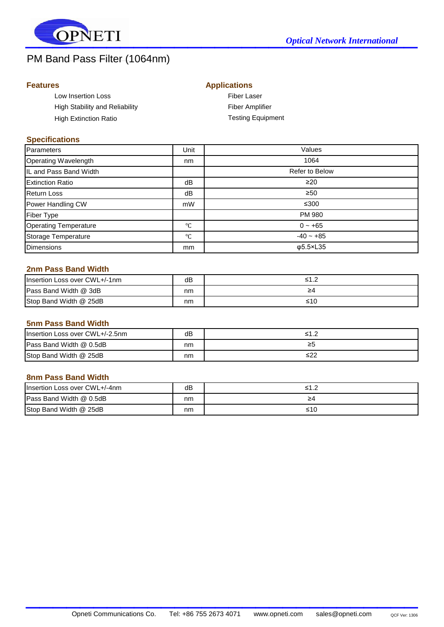

# PM Band Pass Filter (1064nm)

# **Features**

|  | <b>Applications</b> |
|--|---------------------|

| Low Insertion Loss             | <b>Fiber Laser</b>       |
|--------------------------------|--------------------------|
| High Stability and Reliability | <b>Fiber Amplifier</b>   |
| High Extinction Ratio          | <b>Testing Equipment</b> |

## **Specifications**

| Parameters                   | Unit            | Values         |
|------------------------------|-----------------|----------------|
| Operating Wavelength         | nm              | 1064           |
| IL and Pass Band Width       |                 | Refer to Below |
| <b>Extinction Ratio</b>      | dB              | $\geq$ 20      |
| <b>Return Loss</b>           | dB              | $\geq 50$      |
| Power Handling CW            | mW              | ≤300           |
| <b>Fiber Type</b>            |                 | PM 980         |
| <b>Operating Temperature</b> | °C              | $0 - +65$      |
| Storage Temperature          | $\rm ^{\circ}C$ | $-40 - +85$    |
| <b>Dimensions</b>            | <sub>mm</sub>   | $\phi$ 5.5×L35 |

## **2nm Pass Band Width**

| Insertion Loss over CWL+/-1nm | dB | <1  |
|-------------------------------|----|-----|
| Pass Band Width @ 3dB         | nm | ≥4  |
| Stop Band Width @ 25dB        | nm | ≤10 |

#### **5nm Pass Band Width**

| Insertion Loss over CWL+/-2.5nm | dB | <1 |
|---------------------------------|----|----|
| Pass Band Width @ 0.5dB         | nm | ≥5 |
| Stop Band Width @ 25dB          | nm |    |

#### **8nm Pass Band Width**

| Insertion Loss over CWL+/-4nm | dB | ≤1.2 |
|-------------------------------|----|------|
| Pass Band Width @ 0.5dB       | nm | 24   |
| Stop Band Width @ 25dB        | nm | ≤10  |

 $\mathcal{L}_\text{max}$  , which is a set of the set of the set of the set of the set of the set of the set of the set of the set of the set of the set of the set of the set of the set of the set of the set of the set of the set of